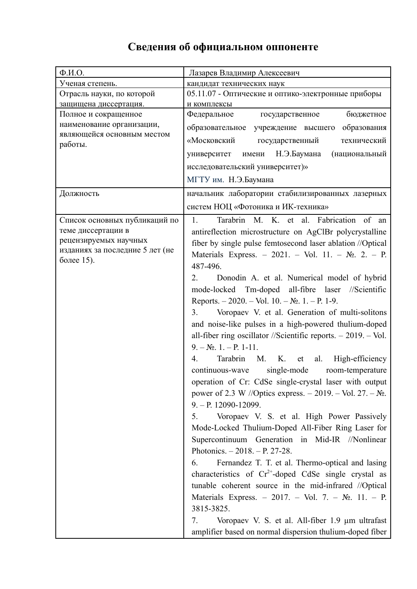## **Сведения об официальном оппоненте**

| $\Phi$ <sub>M</sub> .O.         | Лазарев Владимир Алексеевич                                        |
|---------------------------------|--------------------------------------------------------------------|
| Ученая степень.                 | кандидат технических наук                                          |
| Отрасль науки, по которой       | 05.11.07 - Оптические и оптико-электронные приборы                 |
| защищена диссертация.           | и комплексы                                                        |
| Полное и сокращенное            | Федеральное<br>бюджетное<br>государственное                        |
| наименование организации,       | образовательное учреждение высшего образования                     |
| являющейся основным местом      | «Московский<br>государственный<br>технический                      |
| работы.                         | имени Н.Э.Баумана<br>(национальный<br>университет                  |
|                                 |                                                                    |
|                                 | исследовательский университет)»                                    |
|                                 | МГТУ им. Н.Э.Баумана                                               |
| Должность                       | начальник лаборатории стабилизированных лазерных                   |
|                                 | систем НОЦ «Фотоника и ИК-техника»                                 |
| Список основных публикаций по   | Tarabrin M. K. et al. Fabrication of an<br>$\mathbf{1}$ .          |
| теме диссертации в              | antireflection microstructure on AgClBr polycrystalline            |
| рецензируемых научных           | fiber by single pulse femtosecond laser ablation //Optical         |
| изданиях за последние 5 лет (не | Materials Express. - 2021. - Vol. 11. - No. 2. - P.                |
| более 15).                      | 487-496.                                                           |
|                                 | $\overline{2}$ .<br>Donodin A. et al. Numerical model of hybrid    |
|                                 | mode-locked Tm-doped all-fibre laser //Scientific                  |
|                                 | Reports. $-2020$ . $-$ Vol. 10. $-$ No. 1. $-$ P. 1-9.             |
|                                 |                                                                    |
|                                 | Voropaev V. et al. Generation of multi-solitons<br>3.              |
|                                 | and noise-like pulses in a high-powered thulium-doped              |
|                                 | all-fiber ring oscillator //Scientific reports. $-2019$ . $-$ Vol. |
|                                 | $9. - N_2$ , 1. - P, 1-11.                                         |
|                                 | M. K.<br>al.<br>High-efficiency<br>4.<br>Tarabrin<br>et            |
|                                 | single-mode<br>continuous-wave<br>room-temperature                 |
|                                 | operation of Cr: CdSe single-crystal laser with output             |
|                                 | power of 2.3 W //Optics express. – 2019. – Vol. 27. – $N_2$ .      |
|                                 | $9. - P. 12090 - 12099.$                                           |
|                                 | 5.<br>Voropaev V. S. et al. High Power Passively                   |
|                                 | Mode-Locked Thulium-Doped All-Fiber Ring Laser for                 |
|                                 | Supercontinuum Generation in Mid-IR //Nonlinear                    |
|                                 | Photonics. $-2018. - P. 27-28.$                                    |
|                                 | Fernandez T. T. et al. Thermo-optical and lasing<br>6.             |
|                                 | characteristics of $Cr^{2+}$ -doped CdSe single crystal as         |
|                                 |                                                                    |
|                                 | tunable coherent source in the mid-infrared //Optical              |
|                                 | Materials Express. - 2017. - Vol. 7. - $N_2$ . 11. - P.            |
|                                 | 3815-3825.                                                         |
|                                 | Voropaev V. S. et al. All-fiber 1.9 μm ultrafast<br>7.             |
|                                 | amplifier based on normal dispersion thulium-doped fiber           |